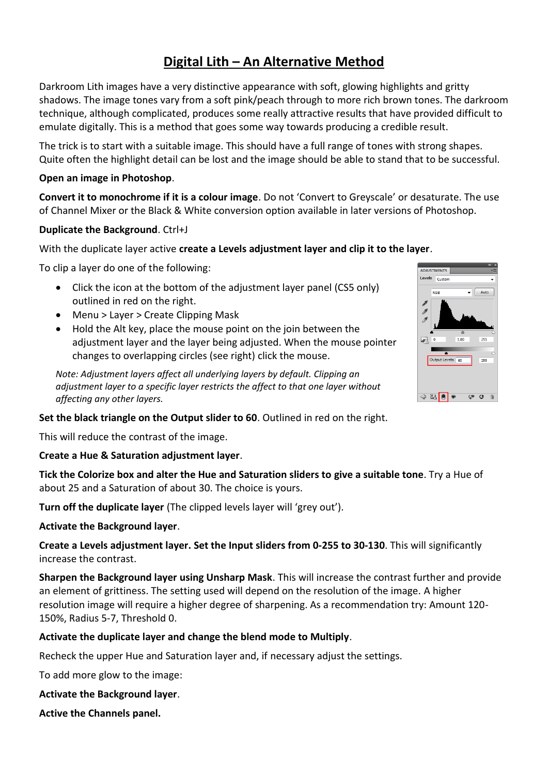# **Digital Lith – An Alternative Method**

Darkroom Lith images have a very distinctive appearance with soft, glowing highlights and gritty shadows. The image tones vary from a soft pink/peach through to more rich brown tones. The darkroom technique, although complicated, produces some really attractive results that have provided difficult to emulate digitally. This is a method that goes some way towards producing a credible result.

The trick is to start with a suitable image. This should have a full range of tones with strong shapes. Quite often the highlight detail can be lost and the image should be able to stand that to be successful.

## **Open an image in Photoshop**.

**Convert it to monochrome if it is a colour image**. Do not 'Convert to Greyscale' or desaturate. The use of Channel Mixer or the Black & White conversion option available in later versions of Photoshop.

#### **Duplicate the Background**. Ctrl+J

## With the duplicate layer active **create a Levels adjustment layer and clip it to the layer**.

To clip a layer do one of the following:

- Click the icon at the bottom of the adjustment layer panel (CS5 only) outlined in red on the right.
- Menu > Layer > Create Clipping Mask
- Hold the Alt key, place the mouse point on the join between the adjustment layer and the layer being adjusted. When the mouse pointer changes to overlapping circles (see right) click the mouse.

*Note: Adjustment layers affect all underlying layers by default. Clipping an adjustment layer to a specific layer restricts the affect to that one layer without affecting any other layers.*

#### **Set the black triangle on the Output slider to 60**. Outlined in red on the right.

This will reduce the contrast of the image.

#### **Create a Hue & Saturation adjustment layer**.

**Tick the Colorize box and alter the Hue and Saturation sliders to give a suitable tone**. Try a Hue of about 25 and a Saturation of about 30. The choice is yours.

**Turn off the duplicate layer** (The clipped levels layer will 'grey out').

#### **Activate the Background layer**.

**Create a Levels adjustment layer. Set the Input sliders from 0-255 to 30-130**. This will significantly increase the contrast.

**Sharpen the Background layer using Unsharp Mask**. This will increase the contrast further and provide an element of grittiness. The setting used will depend on the resolution of the image. A higher resolution image will require a higher degree of sharpening. As a recommendation try: Amount 120- 150%, Radius 5-7, Threshold 0.

## **Activate the duplicate layer and change the blend mode to Multiply**.

Recheck the upper Hue and Saturation layer and, if necessary adjust the settings.

To add more glow to the image:

**Activate the Background layer**.

**Active the Channels panel.**